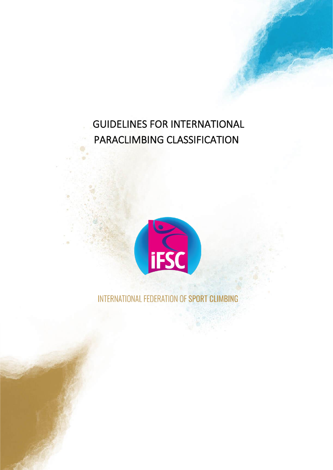# GUIDELINES FOR INTERNATIONAL PARACLIMBING CLASSIFICATION



INTERNATIONAL FEDERATION OF SPORT CLIMBING